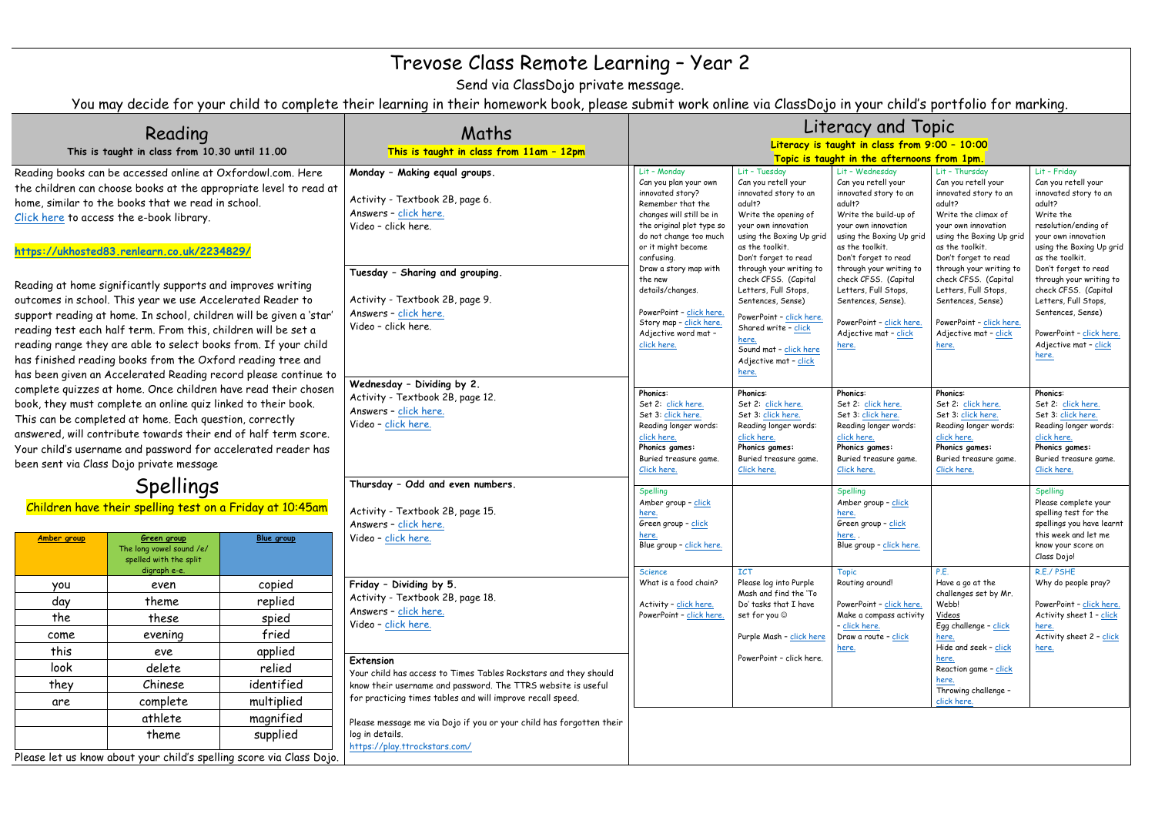## Trevose Class Remote Learning – Year 2

Send via ClassDojo private message.

You may decide for your child to complete their learning in their homework book, please submit work online via ClassDojo in your child's portfolio for marking.

| Reading                                                                                                                                                                                                                                                                                                                                                                                                                                                                                                                                                                                                                                                                                                                                                                                                                                                                                                                                                                                                                                                                                                                                                |                                                                                                                               |            | Maths                                                                                                                                                                                                                                  | Literacy and Topic                                                                                                                                                                                                                                                                                                                                          |                                                                                                                                                                                                                                                                                                                                                                                                                        |                                                                                                                                                                                                                                                                                                                                                                 |                                                                                                                                                                                                                                                                                                                                                                    |                                                                                                                                                                                                                                                                                                                                                                         |
|--------------------------------------------------------------------------------------------------------------------------------------------------------------------------------------------------------------------------------------------------------------------------------------------------------------------------------------------------------------------------------------------------------------------------------------------------------------------------------------------------------------------------------------------------------------------------------------------------------------------------------------------------------------------------------------------------------------------------------------------------------------------------------------------------------------------------------------------------------------------------------------------------------------------------------------------------------------------------------------------------------------------------------------------------------------------------------------------------------------------------------------------------------|-------------------------------------------------------------------------------------------------------------------------------|------------|----------------------------------------------------------------------------------------------------------------------------------------------------------------------------------------------------------------------------------------|-------------------------------------------------------------------------------------------------------------------------------------------------------------------------------------------------------------------------------------------------------------------------------------------------------------------------------------------------------------|------------------------------------------------------------------------------------------------------------------------------------------------------------------------------------------------------------------------------------------------------------------------------------------------------------------------------------------------------------------------------------------------------------------------|-----------------------------------------------------------------------------------------------------------------------------------------------------------------------------------------------------------------------------------------------------------------------------------------------------------------------------------------------------------------|--------------------------------------------------------------------------------------------------------------------------------------------------------------------------------------------------------------------------------------------------------------------------------------------------------------------------------------------------------------------|-------------------------------------------------------------------------------------------------------------------------------------------------------------------------------------------------------------------------------------------------------------------------------------------------------------------------------------------------------------------------|
| This is taught in class from 10.30 until 11.00                                                                                                                                                                                                                                                                                                                                                                                                                                                                                                                                                                                                                                                                                                                                                                                                                                                                                                                                                                                                                                                                                                         |                                                                                                                               |            | This is taught in class from 11am - 12pm                                                                                                                                                                                               | Literacy is taught in class from 9:00 - 10:00                                                                                                                                                                                                                                                                                                               |                                                                                                                                                                                                                                                                                                                                                                                                                        |                                                                                                                                                                                                                                                                                                                                                                 |                                                                                                                                                                                                                                                                                                                                                                    |                                                                                                                                                                                                                                                                                                                                                                         |
|                                                                                                                                                                                                                                                                                                                                                                                                                                                                                                                                                                                                                                                                                                                                                                                                                                                                                                                                                                                                                                                                                                                                                        |                                                                                                                               |            |                                                                                                                                                                                                                                        | Topic is taught in the afternoons from 1pm.                                                                                                                                                                                                                                                                                                                 |                                                                                                                                                                                                                                                                                                                                                                                                                        |                                                                                                                                                                                                                                                                                                                                                                 |                                                                                                                                                                                                                                                                                                                                                                    |                                                                                                                                                                                                                                                                                                                                                                         |
| Reading books can be accessed online at Oxfordowl.com. Here<br>the children can choose books at the appropriate level to read at<br>home, similar to the books that we read in school.<br>Click here to access the e-book library.<br>https://ukhosted83.renlearn.co.uk/2234829/<br>Reading at home significantly supports and improves writing<br>outcomes in school. This year we use Accelerated Reader to<br>support reading at home. In school, children will be given a 'star'<br>reading test each half term. From this, children will be set a<br>reading range they are able to select books from. If your child<br>has finished reading books from the Oxford reading tree and<br>has been given an Accelerated Reading record please continue to<br>complete quizzes at home. Once children have read their chosen<br>book, they must complete an online quiz linked to their book.<br>This can be completed at home. Each question, correctly<br>answered, will contribute towards their end of half term score.<br>Your child's username and password for accelerated reader has<br>been sent via Class Dojo private message<br>Spellings |                                                                                                                               |            | Monday - Making equal groups.<br>Activity - Textbook 2B, page 6.<br>Answers - click here.<br>Video - click here.<br>Tuesday - Sharing and grouping.<br>Activity - Textbook 2B, page 9.<br>Answers - click here.<br>Video - click here. | Lit - Monday<br>Can you plan your own<br>innovated story?<br>Remember that the<br>changes will still be in<br>the original plot type so<br>do not change too much<br>or it might become<br>confusing.<br>Draw a story map with<br>the new<br>details/changes.<br>PowerPoint - click here.<br>Story map - click here.<br>Adjective word mat -<br>click here. | Lit - Tuesday<br>Can you retell your<br>innovated story to an<br>adult?<br>Write the opening of<br>your own innovation<br>using the Boxing Up grid<br>as the toolkit.<br>Don't forget to read<br>through your writing to<br>check CFSS. (Capital<br>Letters, Full Stops,<br>Sentences, Sense)<br>PowerPoint - click here.<br>Shared write - click<br>here.<br>Sound mat - click here<br>Adjective mat - click<br>here. | Lit - Wednesday<br>Can you retell your<br>innovated story to an<br>adult?<br>Write the build-up of<br>your own innovation<br>using the Boxing Up grid<br>as the toolkit.<br>Don't forget to read<br>through your writing to<br>check CFSS. (Capital<br>Letters, Full Stops,<br>Sentences, Sense).<br>PowerPoint - click here.<br>Adjective mat - click<br>here. | Lit - Thursday<br>Can you retell your<br>innovated story to an<br>adult?<br>Write the climax of<br>your own innovation<br>using the Boxing Up grid<br>as the toolkit.<br>Don't forget to read<br>through your writing to<br>check CFSS. (Capital<br>Letters, Full Stops,<br>Sentences, Sense)<br>PowerPoint - click here.<br>Adjective mat - click<br><u>here.</u> | Lit - Friday<br>Can you retell your<br>innovated story to an<br>adult?<br>Write the<br>resolution/ending of<br>your own innovation<br>using the Boxing Up grid<br>as the toolkit.<br>Don't forget to read<br>through your writing to<br>check CFSS. (Capital<br>Letters, Full Stops,<br>Sentences, Sense)<br>PowerPoint - click here.<br>Adjective mat - click<br>here. |
|                                                                                                                                                                                                                                                                                                                                                                                                                                                                                                                                                                                                                                                                                                                                                                                                                                                                                                                                                                                                                                                                                                                                                        |                                                                                                                               |            | Wednesday - Dividing by 2.<br>Activity - Textbook 2B, page 12.<br>Answers - click here.<br>Video - click here.<br>Thursday - Odd and even numbers.                                                                                     | <b>Phonics:</b><br>Set 2: click here.<br>Set 3: click here.<br>Reading longer words:<br>click here.<br>Phonics games:<br>Buried treasure game.<br>Click here.<br>Spelling                                                                                                                                                                                   | <b>Phonics:</b><br>Set 2: click here.<br>Set 3: click here.<br>Reading longer words:<br>click here.<br>Phonics games:<br>Buried treasure game<br>Click here.                                                                                                                                                                                                                                                           | <b>Phonics:</b><br>Set 2: click here.<br>Set 3: click here.<br>Reading longer words:<br>click here.<br>Phonics games:<br>Buried treasure game.<br>Click here.<br><b>Spelling</b>                                                                                                                                                                                | <b>Phonics:</b><br>Set 2: click here.<br>Set 3: click here.<br>Reading longer words:<br>click here.<br>Phonics games:<br>Buried treasure game.<br>Click here.                                                                                                                                                                                                      | <b>Phonics:</b><br>Set 2: click here.<br>Set 3: click here.<br>Reading longer words:<br>click here.<br>Phonics games:<br>Buried treasure game.<br>Click here.<br>Spelling                                                                                                                                                                                               |
| Amber group                                                                                                                                                                                                                                                                                                                                                                                                                                                                                                                                                                                                                                                                                                                                                                                                                                                                                                                                                                                                                                                                                                                                            | Children have their spelling test on a Friday at 10:45am<br>Green group<br>The long yowel sound /e/<br>spelled with the split | Blue group | Activity - Textbook 2B, page 15.<br>Answers - click here.<br>Video - click here.                                                                                                                                                       | Amber group - click<br>here.<br>Green group - click<br>here.<br>Blue group - click here.                                                                                                                                                                                                                                                                    |                                                                                                                                                                                                                                                                                                                                                                                                                        | Amber group - click<br>here.<br>Green group - click<br>here<br>Blue group - click here.                                                                                                                                                                                                                                                                         |                                                                                                                                                                                                                                                                                                                                                                    | Please complete your<br>spelling test for the<br>spellings you have learnt<br>this week and let me<br>know your score on<br>Class Dojo!                                                                                                                                                                                                                                 |
|                                                                                                                                                                                                                                                                                                                                                                                                                                                                                                                                                                                                                                                                                                                                                                                                                                                                                                                                                                                                                                                                                                                                                        | digraph e-e.                                                                                                                  |            |                                                                                                                                                                                                                                        | Science                                                                                                                                                                                                                                                                                                                                                     | <b>ICT</b>                                                                                                                                                                                                                                                                                                                                                                                                             | <b>Topic</b>                                                                                                                                                                                                                                                                                                                                                    | P.E.                                                                                                                                                                                                                                                                                                                                                               | R.E./ PSHE                                                                                                                                                                                                                                                                                                                                                              |
| you                                                                                                                                                                                                                                                                                                                                                                                                                                                                                                                                                                                                                                                                                                                                                                                                                                                                                                                                                                                                                                                                                                                                                    | even                                                                                                                          | copied     | Friday - Dividing by 5.                                                                                                                                                                                                                | What is a food chain?                                                                                                                                                                                                                                                                                                                                       | Please log into Purple<br>Mash and find the 'To                                                                                                                                                                                                                                                                                                                                                                        | Routing around!                                                                                                                                                                                                                                                                                                                                                 | Have a go at the<br>challenges set by Mr.                                                                                                                                                                                                                                                                                                                          | Why do people pray?                                                                                                                                                                                                                                                                                                                                                     |
| day                                                                                                                                                                                                                                                                                                                                                                                                                                                                                                                                                                                                                                                                                                                                                                                                                                                                                                                                                                                                                                                                                                                                                    | theme                                                                                                                         | replied    | Activity - Textbook 2B, page 18.<br>Answers - click here.                                                                                                                                                                              | Activity - click here.                                                                                                                                                                                                                                                                                                                                      | Do' tasks that I have                                                                                                                                                                                                                                                                                                                                                                                                  | PowerPoint - click here.                                                                                                                                                                                                                                                                                                                                        | Webb!                                                                                                                                                                                                                                                                                                                                                              | PowerPoint - click here.                                                                                                                                                                                                                                                                                                                                                |
| the                                                                                                                                                                                                                                                                                                                                                                                                                                                                                                                                                                                                                                                                                                                                                                                                                                                                                                                                                                                                                                                                                                                                                    | these                                                                                                                         | spied      | Video - click here.                                                                                                                                                                                                                    | PowerPoint - click here.                                                                                                                                                                                                                                                                                                                                    | set for you $\circledcirc$                                                                                                                                                                                                                                                                                                                                                                                             | Make a compass activity<br>- click here.                                                                                                                                                                                                                                                                                                                        | Videos<br>Egg challenge - click                                                                                                                                                                                                                                                                                                                                    | Activity sheet 1 - click<br>here.                                                                                                                                                                                                                                                                                                                                       |
| come                                                                                                                                                                                                                                                                                                                                                                                                                                                                                                                                                                                                                                                                                                                                                                                                                                                                                                                                                                                                                                                                                                                                                   | evening                                                                                                                       | fried      |                                                                                                                                                                                                                                        |                                                                                                                                                                                                                                                                                                                                                             | Purple Mash - click here                                                                                                                                                                                                                                                                                                                                                                                               | Draw a route - click                                                                                                                                                                                                                                                                                                                                            | here.                                                                                                                                                                                                                                                                                                                                                              | Activity sheet 2 - click                                                                                                                                                                                                                                                                                                                                                |
| this                                                                                                                                                                                                                                                                                                                                                                                                                                                                                                                                                                                                                                                                                                                                                                                                                                                                                                                                                                                                                                                                                                                                                   | eve                                                                                                                           | applied    |                                                                                                                                                                                                                                        |                                                                                                                                                                                                                                                                                                                                                             | PowerPoint - click here.                                                                                                                                                                                                                                                                                                                                                                                               | here.                                                                                                                                                                                                                                                                                                                                                           | Hide and seek - click<br>here.                                                                                                                                                                                                                                                                                                                                     | here.                                                                                                                                                                                                                                                                                                                                                                   |
| look                                                                                                                                                                                                                                                                                                                                                                                                                                                                                                                                                                                                                                                                                                                                                                                                                                                                                                                                                                                                                                                                                                                                                   | delete                                                                                                                        | relied     | Extension<br>Your child has access to Times Tables Rockstars and they should                                                                                                                                                           |                                                                                                                                                                                                                                                                                                                                                             |                                                                                                                                                                                                                                                                                                                                                                                                                        |                                                                                                                                                                                                                                                                                                                                                                 | Reaction game - click                                                                                                                                                                                                                                                                                                                                              |                                                                                                                                                                                                                                                                                                                                                                         |
| they                                                                                                                                                                                                                                                                                                                                                                                                                                                                                                                                                                                                                                                                                                                                                                                                                                                                                                                                                                                                                                                                                                                                                   | Chinese                                                                                                                       | identified | know their username and password. The TTRS website is useful                                                                                                                                                                           |                                                                                                                                                                                                                                                                                                                                                             |                                                                                                                                                                                                                                                                                                                                                                                                                        |                                                                                                                                                                                                                                                                                                                                                                 | here.<br>Throwing challenge -                                                                                                                                                                                                                                                                                                                                      |                                                                                                                                                                                                                                                                                                                                                                         |
| are                                                                                                                                                                                                                                                                                                                                                                                                                                                                                                                                                                                                                                                                                                                                                                                                                                                                                                                                                                                                                                                                                                                                                    | complete                                                                                                                      | multiplied | for practicing times tables and will improve recall speed.                                                                                                                                                                             |                                                                                                                                                                                                                                                                                                                                                             |                                                                                                                                                                                                                                                                                                                                                                                                                        |                                                                                                                                                                                                                                                                                                                                                                 | click here.                                                                                                                                                                                                                                                                                                                                                        |                                                                                                                                                                                                                                                                                                                                                                         |
|                                                                                                                                                                                                                                                                                                                                                                                                                                                                                                                                                                                                                                                                                                                                                                                                                                                                                                                                                                                                                                                                                                                                                        | athlete                                                                                                                       | magnified  |                                                                                                                                                                                                                                        |                                                                                                                                                                                                                                                                                                                                                             |                                                                                                                                                                                                                                                                                                                                                                                                                        |                                                                                                                                                                                                                                                                                                                                                                 |                                                                                                                                                                                                                                                                                                                                                                    |                                                                                                                                                                                                                                                                                                                                                                         |
|                                                                                                                                                                                                                                                                                                                                                                                                                                                                                                                                                                                                                                                                                                                                                                                                                                                                                                                                                                                                                                                                                                                                                        | theme                                                                                                                         | supplied   | Please message me via Dojo if you or your child has forgotten their<br>log in details.                                                                                                                                                 |                                                                                                                                                                                                                                                                                                                                                             |                                                                                                                                                                                                                                                                                                                                                                                                                        |                                                                                                                                                                                                                                                                                                                                                                 |                                                                                                                                                                                                                                                                                                                                                                    |                                                                                                                                                                                                                                                                                                                                                                         |
|                                                                                                                                                                                                                                                                                                                                                                                                                                                                                                                                                                                                                                                                                                                                                                                                                                                                                                                                                                                                                                                                                                                                                        | Please let us know about your child's spelling score via Class Dojo.                                                          |            | https://play.ttrockstars.com/                                                                                                                                                                                                          |                                                                                                                                                                                                                                                                                                                                                             |                                                                                                                                                                                                                                                                                                                                                                                                                        |                                                                                                                                                                                                                                                                                                                                                                 |                                                                                                                                                                                                                                                                                                                                                                    |                                                                                                                                                                                                                                                                                                                                                                         |